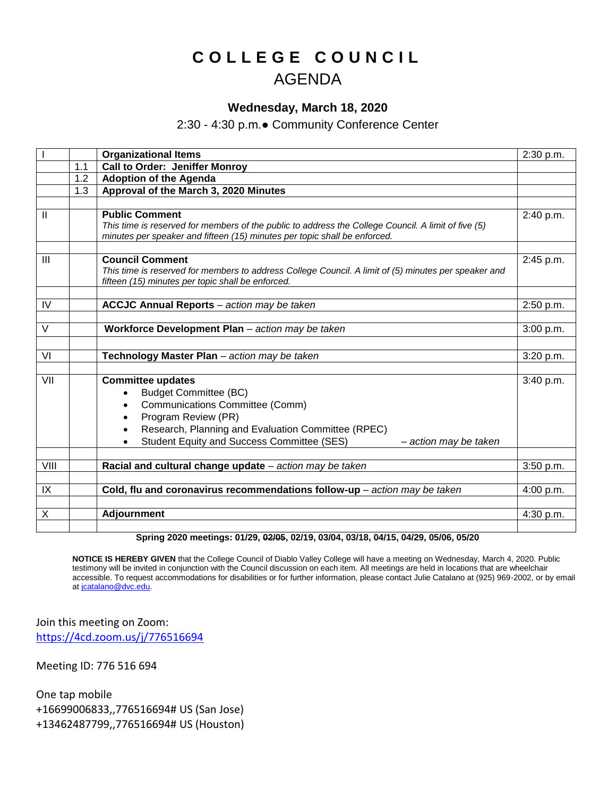## **C O L L E G E C O U N C I L** AGENDA

## **Wednesday, March 18, 2020**

## 2:30 - 4:30 p.m.● Community Conference Center

|                |     | <b>Organizational Items</b>                                                                                                                                                                               | 2:30 p.m. |
|----------------|-----|-----------------------------------------------------------------------------------------------------------------------------------------------------------------------------------------------------------|-----------|
|                | 1.1 | <b>Call to Order: Jeniffer Monroy</b>                                                                                                                                                                     |           |
|                | 1.2 | <b>Adoption of the Agenda</b>                                                                                                                                                                             |           |
|                | 1.3 | Approval of the March 3, 2020 Minutes                                                                                                                                                                     |           |
|                |     |                                                                                                                                                                                                           |           |
| $\mathbf{I}$   |     | <b>Public Comment</b><br>This time is reserved for members of the public to address the College Council. A limit of five (5)<br>minutes per speaker and fifteen (15) minutes per topic shall be enforced. | 2:40 p.m. |
|                |     |                                                                                                                                                                                                           |           |
| $\mathbf{III}$ |     | <b>Council Comment</b><br>This time is reserved for members to address College Council. A limit of (5) minutes per speaker and<br>fifteen (15) minutes per topic shall be enforced.                       | 2:45 p.m. |
|                |     |                                                                                                                                                                                                           |           |
| IV             |     | <b>ACCJC Annual Reports</b> - action may be taken                                                                                                                                                         | 2:50 p.m. |
|                |     |                                                                                                                                                                                                           |           |
| $\vee$         |     | Workforce Development Plan - action may be taken                                                                                                                                                          | 3:00 p.m. |
|                |     |                                                                                                                                                                                                           |           |
| VI             |     | Technology Master Plan - action may be taken                                                                                                                                                              | 3:20 p.m. |
|                |     |                                                                                                                                                                                                           |           |
| VII            |     | <b>Committee updates</b>                                                                                                                                                                                  | 3:40 p.m. |
|                |     | <b>Budget Committee (BC)</b><br>$\bullet$                                                                                                                                                                 |           |
|                |     | Communications Committee (Comm)                                                                                                                                                                           |           |
|                |     | Program Review (PR)                                                                                                                                                                                       |           |
|                |     | Research, Planning and Evaluation Committee (RPEC)                                                                                                                                                        |           |
|                |     | Student Equity and Success Committee (SES)<br>- action may be taken                                                                                                                                       |           |
|                |     |                                                                                                                                                                                                           |           |
| VIII           |     | Racial and cultural change update - action may be taken                                                                                                                                                   | 3:50 p.m. |
|                |     |                                                                                                                                                                                                           |           |
| IX             |     | Cold, flu and coronavirus recommendations follow-up - action may be taken                                                                                                                                 | 4:00 p.m. |
|                |     |                                                                                                                                                                                                           |           |
| X              |     | <b>Adjournment</b>                                                                                                                                                                                        | 4:30 p.m. |
|                |     |                                                                                                                                                                                                           |           |

## **Spring 2020 meetings: 01/29, 02/05, 02/19, 03/04, 03/18, 04/15, 04/29, 05/06, 05/20**

**NOTICE IS HEREBY GIVEN** that the College Council of Diablo Valley College will have a meeting on Wednesday, March 4, 2020. Public testimony will be invited in conjunction with the Council discussion on each item. All meetings are held in locations that are wheelchair accessible. To request accommodations for disabilities or for further information, please contact Julie Catalano at (925) 969-2002, or by email at [jcatalano@dvc.edu.](mailto:jcatalano@dvc.edu)

Join this meeting on Zoom: <https://4cd.zoom.us/j/776516694>

Meeting ID: 776 516 694

One tap mobile +16699006833,,776516694# US (San Jose) +13462487799,,776516694# US (Houston)